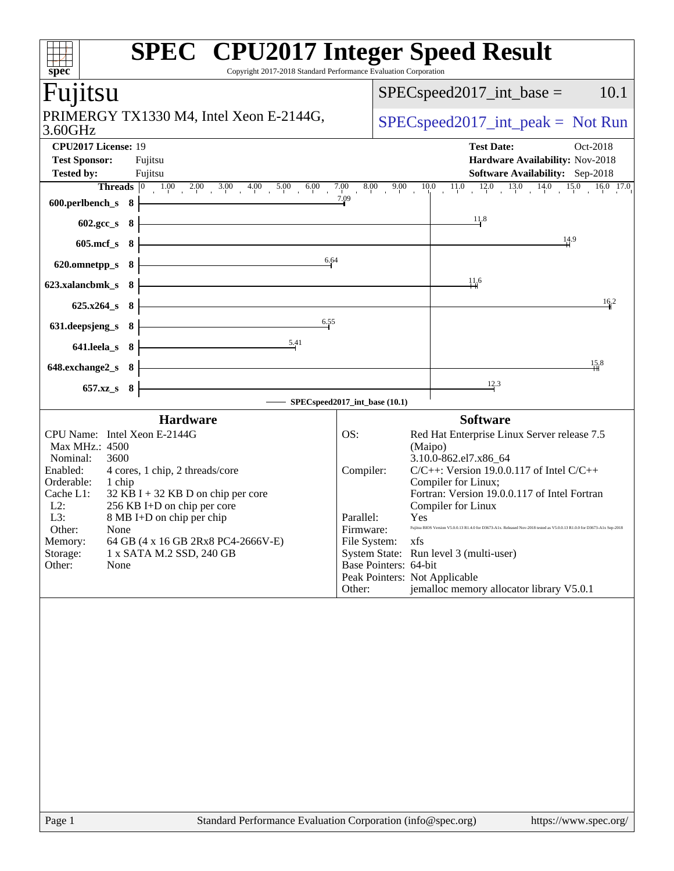| spec<br>Fujitsu                                                                                                                                                                                 |  | Copyright 2017-2018 Standard Performance Evaluation Corporation                                                                                                                                       |                                                                      |                       |                                       | $SPEC speed2017\_int\_base =$                                                                                                                                                                                                                                                                                                                                                                                                                                                            | 10.1                  |  |  |
|-------------------------------------------------------------------------------------------------------------------------------------------------------------------------------------------------|--|-------------------------------------------------------------------------------------------------------------------------------------------------------------------------------------------------------|----------------------------------------------------------------------|-----------------------|---------------------------------------|------------------------------------------------------------------------------------------------------------------------------------------------------------------------------------------------------------------------------------------------------------------------------------------------------------------------------------------------------------------------------------------------------------------------------------------------------------------------------------------|-----------------------|--|--|
| PRIMERGY TX1330 M4, Intel Xeon E-2144G,                                                                                                                                                         |  |                                                                                                                                                                                                       |                                                                      |                       | $SPEC speed2017\_int\_peak = Not Run$ |                                                                                                                                                                                                                                                                                                                                                                                                                                                                                          |                       |  |  |
| 3.60GHz<br>CPU2017 License: 19                                                                                                                                                                  |  |                                                                                                                                                                                                       |                                                                      |                       |                                       | <b>Test Date:</b>                                                                                                                                                                                                                                                                                                                                                                                                                                                                        | Oct-2018              |  |  |
| <b>Test Sponsor:</b><br><b>Tested by:</b>                                                                                                                                                       |  | Fujitsu                                                                                                                                                                                               |                                                                      |                       |                                       | Hardware Availability: Nov-2018<br><b>Software Availability:</b> Sep-2018                                                                                                                                                                                                                                                                                                                                                                                                                |                       |  |  |
|                                                                                                                                                                                                 |  | Fujitsu<br><b>Threads</b> $\begin{bmatrix} 0 & 1.00 & 2.00 & 3.00 & 4.00 & 5.00 & 6.00 & 7.00 & 8.00 & 9.00 & 10.0 & 11.0 & 12.0 & 13.0 & 14.0 & 15.0 & 16.0 & 17.0 \end{bmatrix}$                    |                                                                      |                       |                                       |                                                                                                                                                                                                                                                                                                                                                                                                                                                                                          |                       |  |  |
|                                                                                                                                                                                                 |  | $600.$ perlbench_s 8 $\longleftarrow$                                                                                                                                                                 |                                                                      |                       |                                       |                                                                                                                                                                                                                                                                                                                                                                                                                                                                                          |                       |  |  |
| $602.\text{sec}\_\text{S}$ 8                                                                                                                                                                    |  | <u> 1989 - Johann Barn, fransk politik (f. 1989)</u>                                                                                                                                                  |                                                                      |                       |                                       | 11.8                                                                                                                                                                                                                                                                                                                                                                                                                                                                                     |                       |  |  |
| $605 \text{.mcf}\, \text{s}$ 8                                                                                                                                                                  |  |                                                                                                                                                                                                       |                                                                      |                       |                                       | $\frac{14.9}{ }$                                                                                                                                                                                                                                                                                                                                                                                                                                                                         |                       |  |  |
| 620.omnetpp_s $8 \nmid$                                                                                                                                                                         |  | 6.64                                                                                                                                                                                                  |                                                                      |                       |                                       |                                                                                                                                                                                                                                                                                                                                                                                                                                                                                          |                       |  |  |
| 623.xalancbmk_s $8 \n\cdot$                                                                                                                                                                     |  | <u> 1989 - Johann Stoff, Amerikaansk politiker (</u>                                                                                                                                                  |                                                                      |                       |                                       | $\frac{11.6}{11}$                                                                                                                                                                                                                                                                                                                                                                                                                                                                        |                       |  |  |
| $625.x264_s 8$                                                                                                                                                                                  |  |                                                                                                                                                                                                       |                                                                      |                       |                                       |                                                                                                                                                                                                                                                                                                                                                                                                                                                                                          | 16.2                  |  |  |
| 631. deepsjeng_s $8 \nightharpoonup$                                                                                                                                                            |  | 6.55<br><u> 1989 - Johann Barn, mars ann an t-Amhain Aonaich an t-Aonaich an t-Aonaich ann an t-Aonaich ann an t-Aonaich</u>                                                                          |                                                                      |                       |                                       |                                                                                                                                                                                                                                                                                                                                                                                                                                                                                          |                       |  |  |
| $641.$ leela_s 8 $\downarrow$                                                                                                                                                                   |  | 5.41                                                                                                                                                                                                  |                                                                      |                       |                                       |                                                                                                                                                                                                                                                                                                                                                                                                                                                                                          |                       |  |  |
| $648$ .exchange2_s $8$                                                                                                                                                                          |  |                                                                                                                                                                                                       |                                                                      |                       |                                       |                                                                                                                                                                                                                                                                                                                                                                                                                                                                                          | 1,5,8                 |  |  |
| $657.xz$ <sub>8</sub> 8                                                                                                                                                                         |  | SPECspeed2017_int_base (10.1)                                                                                                                                                                         |                                                                      |                       |                                       | 12.3                                                                                                                                                                                                                                                                                                                                                                                                                                                                                     |                       |  |  |
|                                                                                                                                                                                                 |  | <b>Hardware</b>                                                                                                                                                                                       |                                                                      |                       |                                       |                                                                                                                                                                                                                                                                                                                                                                                                                                                                                          |                       |  |  |
| CPU Name: Intel Xeon E-2144G<br>Max MHz.: 4500<br>Nominal:<br>3600<br>Enabled:<br>Orderable:<br>1 chip<br>Cache L1:<br>$L2$ :<br>L3:<br>Other:<br>None<br>Memory:<br>Storage:<br>Other:<br>None |  | 4 cores, 1 chip, 2 threads/core<br>$32$ KB I + 32 KB D on chip per core<br>256 KB I+D on chip per core<br>8 MB I+D on chip per chip<br>64 GB (4 x 16 GB 2Rx8 PC4-2666V-E)<br>1 x SATA M.2 SSD, 240 GB | OS:<br>Compiler:<br>Parallel:<br>Firmware:<br>File System:<br>Other: | Base Pointers: 64-bit | (Maipo)<br>Yes<br>xfs                 | <b>Software</b><br>Red Hat Enterprise Linux Server release 7.5<br>3.10.0-862.el7.x86_64<br>$C/C++$ : Version 19.0.0.117 of Intel $C/C++$<br>Compiler for Linux;<br>Fortran: Version 19.0.0.117 of Intel Fortran<br>Compiler for Linux<br>Fujitsu BIOS Version V5.0.0.13 R1.4.0 for D3673-A1x. Released Nov-2018 tested as V5.0.0.13 R1.0.0 for D3673-A1x Sep-2018<br>System State: Run level 3 (multi-user)<br>Peak Pointers: Not Applicable<br>jemalloc memory allocator library V5.0.1 |                       |  |  |
| Page 1                                                                                                                                                                                          |  | Standard Performance Evaluation Corporation (info@spec.org)                                                                                                                                           |                                                                      |                       |                                       |                                                                                                                                                                                                                                                                                                                                                                                                                                                                                          | https://www.spec.org/ |  |  |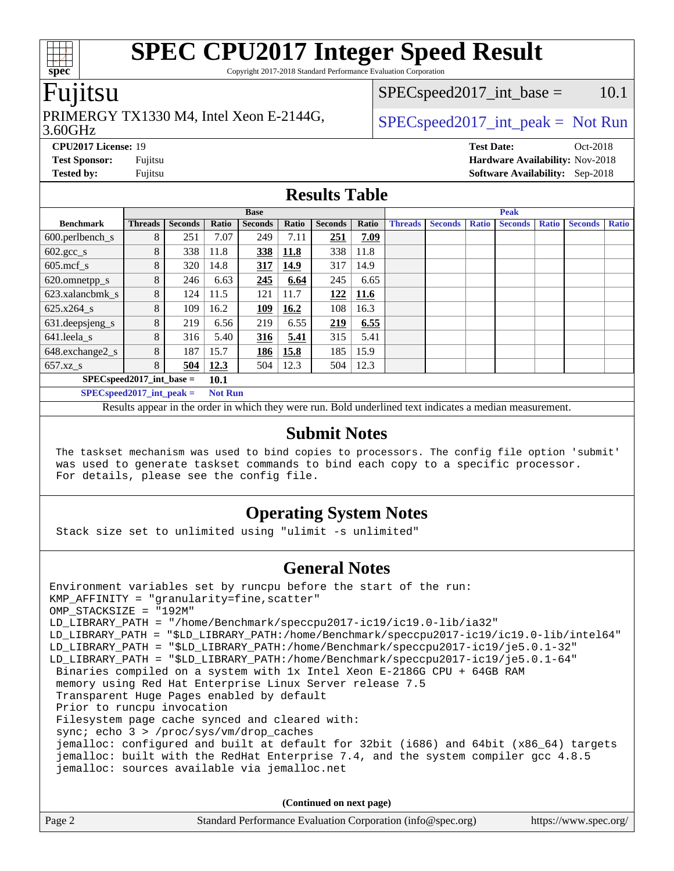Copyright 2017-2018 Standard Performance Evaluation Corporation

#### Fujitsu

#### 3.60GHz PRIMERGY TX1330 M4, Intel Xeon E-2144G,  $\big|$  [SPECspeed2017\\_int\\_peak =](http://www.spec.org/auto/cpu2017/Docs/result-fields.html#SPECspeed2017intpeak) Not Run

 $SPEC speed2017\_int\_base = 10.1$ 

**[CPU2017 License:](http://www.spec.org/auto/cpu2017/Docs/result-fields.html#CPU2017License)** 19 **[Test Date:](http://www.spec.org/auto/cpu2017/Docs/result-fields.html#TestDate)** Oct-2018 **[Test Sponsor:](http://www.spec.org/auto/cpu2017/Docs/result-fields.html#TestSponsor)** Fujitsu **[Hardware Availability:](http://www.spec.org/auto/cpu2017/Docs/result-fields.html#HardwareAvailability)** Nov-2018 **[Tested by:](http://www.spec.org/auto/cpu2017/Docs/result-fields.html#Testedby)** Fujitsu **[Software Availability:](http://www.spec.org/auto/cpu2017/Docs/result-fields.html#SoftwareAvailability)** Sep-2018

#### **[Results Table](http://www.spec.org/auto/cpu2017/Docs/result-fields.html#ResultsTable)**

|                                      | <b>Base</b> |                |       |                |       |                |             | <b>Peak</b>    |                |              |                |              |                |              |
|--------------------------------------|-------------|----------------|-------|----------------|-------|----------------|-------------|----------------|----------------|--------------|----------------|--------------|----------------|--------------|
| <b>Benchmark</b>                     | Threads     | <b>Seconds</b> | Ratio | <b>Seconds</b> | Ratio | <b>Seconds</b> | Ratio       | <b>Threads</b> | <b>Seconds</b> | <b>Ratio</b> | <b>Seconds</b> | <b>Ratio</b> | <b>Seconds</b> | <b>Ratio</b> |
| 600.perlbench_s                      | 8           | 251            | 7.07  | 249            | 7.11  | 251            | 7.09        |                |                |              |                |              |                |              |
| $602 \text{.} \text{gcc}\text{_<}$ s | 8           | 338            | 11.8  | 338            | 11.8  | 338            | 11.8        |                |                |              |                |              |                |              |
| $605$ .mcf s                         | 8           | 320            | 14.8  | 317            | 14.9  | 317            | 14.9        |                |                |              |                |              |                |              |
| 620.omnetpp_s                        | 8           | 246            | 6.63  | 245            | 6.64  | 245            | 6.65        |                |                |              |                |              |                |              |
| 623.xalancbmk s                      | 8           | 124            | 11.5  | 121            | 11.7  | 122            | <b>11.6</b> |                |                |              |                |              |                |              |
| $625.x264$ s                         | 8           | 109            | 16.2  | <u>109</u>     | 16.2  | 108            | 16.3        |                |                |              |                |              |                |              |
| 631.deepsjeng_s                      | 8           | 219            | 6.56  | 219            | 6.55  | 219            | 6.55        |                |                |              |                |              |                |              |
| 641.leela_s                          | 8           | 316            | 5.40  | 316            | 5.41  | 315            | 5.41        |                |                |              |                |              |                |              |
| 648.exchange2_s                      | 8           | 187            | 15.7  | 186            | 15.8  | 185            | 15.9        |                |                |              |                |              |                |              |
| $657.xz$ s                           | 8           | 504            | 12.3  | 504            | 12.3  | 504            | 12.3        |                |                |              |                |              |                |              |
| $SPECspeed2017$ int base =           | <b>10.1</b> |                |       |                |       |                |             |                |                |              |                |              |                |              |

**[SPECspeed2017\\_int\\_peak =](http://www.spec.org/auto/cpu2017/Docs/result-fields.html#SPECspeed2017intpeak) Not Run**

Results appear in the [order in which they were run.](http://www.spec.org/auto/cpu2017/Docs/result-fields.html#RunOrder) Bold underlined text [indicates a median measurement.](http://www.spec.org/auto/cpu2017/Docs/result-fields.html#Median)

#### **[Submit Notes](http://www.spec.org/auto/cpu2017/Docs/result-fields.html#SubmitNotes)**

 The taskset mechanism was used to bind copies to processors. The config file option 'submit' was used to generate taskset commands to bind each copy to a specific processor. For details, please see the config file.

#### **[Operating System Notes](http://www.spec.org/auto/cpu2017/Docs/result-fields.html#OperatingSystemNotes)**

Stack size set to unlimited using "ulimit -s unlimited"

#### **[General Notes](http://www.spec.org/auto/cpu2017/Docs/result-fields.html#GeneralNotes)**

Environment variables set by runcpu before the start of the run: KMP\_AFFINITY = "granularity=fine,scatter" OMP\_STACKSIZE = "192M" LD\_LIBRARY\_PATH = "/home/Benchmark/speccpu2017-ic19/ic19.0-lib/ia32" LD\_LIBRARY\_PATH = "\$LD\_LIBRARY\_PATH:/home/Benchmark/speccpu2017-ic19/ic19.0-lib/intel64" LD\_LIBRARY\_PATH = "\$LD\_LIBRARY\_PATH:/home/Benchmark/speccpu2017-ic19/je5.0.1-32" LD\_LIBRARY\_PATH = "\$LD\_LIBRARY\_PATH:/home/Benchmark/speccpu2017-ic19/je5.0.1-64" Binaries compiled on a system with 1x Intel Xeon E-2186G CPU + 64GB RAM memory using Red Hat Enterprise Linux Server release 7.5 Transparent Huge Pages enabled by default Prior to runcpu invocation Filesystem page cache synced and cleared with: sync; echo 3 > /proc/sys/vm/drop\_caches jemalloc: configured and built at default for 32bit (i686) and 64bit (x86\_64) targets jemalloc: built with the RedHat Enterprise 7.4, and the system compiler gcc 4.8.5 jemalloc: sources available via jemalloc.net

**(Continued on next page)**

| Page 2 | Standard Performance Evaluation Corporation (info@spec.org) | https://www.spec.org/ |
|--------|-------------------------------------------------------------|-----------------------|
|        |                                                             |                       |

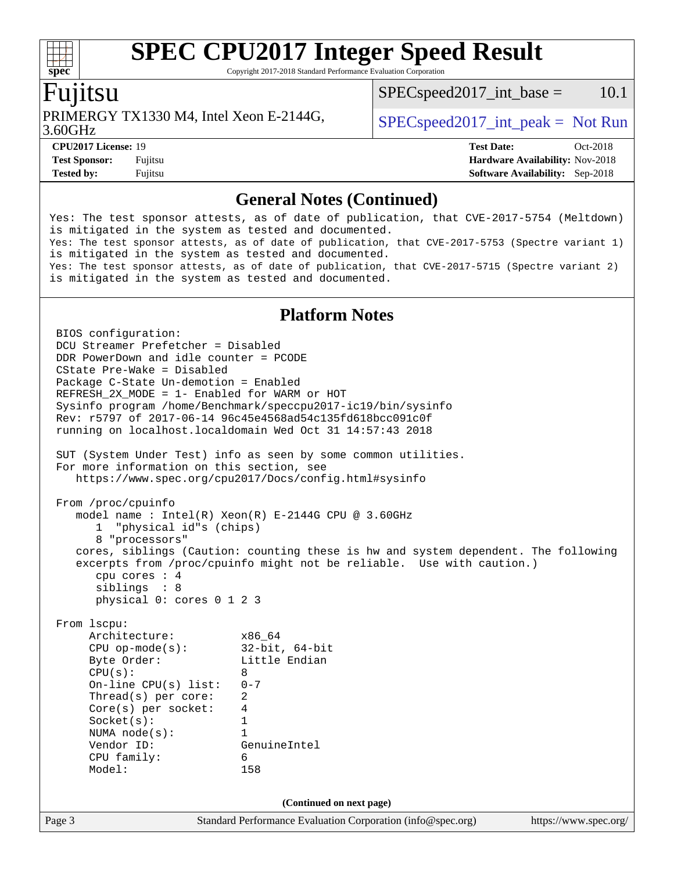Copyright 2017-2018 Standard Performance Evaluation Corporation

#### Fujitsu

**[spec](http://www.spec.org/)**

dd h

PRIMERGY TX1330 M4, Intel Xeon E-2144G,  $\big|$  [SPECspeed2017\\_int\\_peak =](http://www.spec.org/auto/cpu2017/Docs/result-fields.html#SPECspeed2017intpeak) Not Run

 $SPEC speed2017\_int\_base = 10.1$ 

3.60GHz

**[CPU2017 License:](http://www.spec.org/auto/cpu2017/Docs/result-fields.html#CPU2017License)** 19 **[Test Date:](http://www.spec.org/auto/cpu2017/Docs/result-fields.html#TestDate)** Oct-2018 **[Test Sponsor:](http://www.spec.org/auto/cpu2017/Docs/result-fields.html#TestSponsor)** Fujitsu **[Hardware Availability:](http://www.spec.org/auto/cpu2017/Docs/result-fields.html#HardwareAvailability)** Nov-2018 **[Tested by:](http://www.spec.org/auto/cpu2017/Docs/result-fields.html#Testedby)** Fujitsu **[Software Availability:](http://www.spec.org/auto/cpu2017/Docs/result-fields.html#SoftwareAvailability)** Sep-2018

#### **[General Notes \(Continued\)](http://www.spec.org/auto/cpu2017/Docs/result-fields.html#GeneralNotes)**

Yes: The test sponsor attests, as of date of publication, that CVE-2017-5754 (Meltdown) is mitigated in the system as tested and documented. Yes: The test sponsor attests, as of date of publication, that CVE-2017-5753 (Spectre variant 1) is mitigated in the system as tested and documented. Yes: The test sponsor attests, as of date of publication, that CVE-2017-5715 (Spectre variant 2) is mitigated in the system as tested and documented.

#### **[Platform Notes](http://www.spec.org/auto/cpu2017/Docs/result-fields.html#PlatformNotes)**

Page 3 Standard Performance Evaluation Corporation [\(info@spec.org\)](mailto:info@spec.org) <https://www.spec.org/> BIOS configuration: DCU Streamer Prefetcher = Disabled DDR PowerDown and idle counter = PCODE CState Pre-Wake = Disabled Package C-State Un-demotion = Enabled REFRESH\_2X\_MODE = 1- Enabled for WARM or HOT Sysinfo program /home/Benchmark/speccpu2017-ic19/bin/sysinfo Rev: r5797 of 2017-06-14 96c45e4568ad54c135fd618bcc091c0f running on localhost.localdomain Wed Oct 31 14:57:43 2018 SUT (System Under Test) info as seen by some common utilities. For more information on this section, see <https://www.spec.org/cpu2017/Docs/config.html#sysinfo> From /proc/cpuinfo model name : Intel(R) Xeon(R) E-2144G CPU @ 3.60GHz 1 "physical id"s (chips) 8 "processors" cores, siblings (Caution: counting these is hw and system dependent. The following excerpts from /proc/cpuinfo might not be reliable. Use with caution.) cpu cores : 4 siblings : 8 physical 0: cores 0 1 2 3 From lscpu: Architecture: x86\_64 CPU op-mode(s): 32-bit, 64-bit Byte Order: Little Endian  $CPU(s):$  8 On-line CPU(s) list: 0-7 Thread(s) per core: 2 Core(s) per socket: 4 Socket(s): 1 NUMA node(s): 1 Vendor ID: GenuineIntel CPU family: 6 Model: 158 **(Continued on next page)**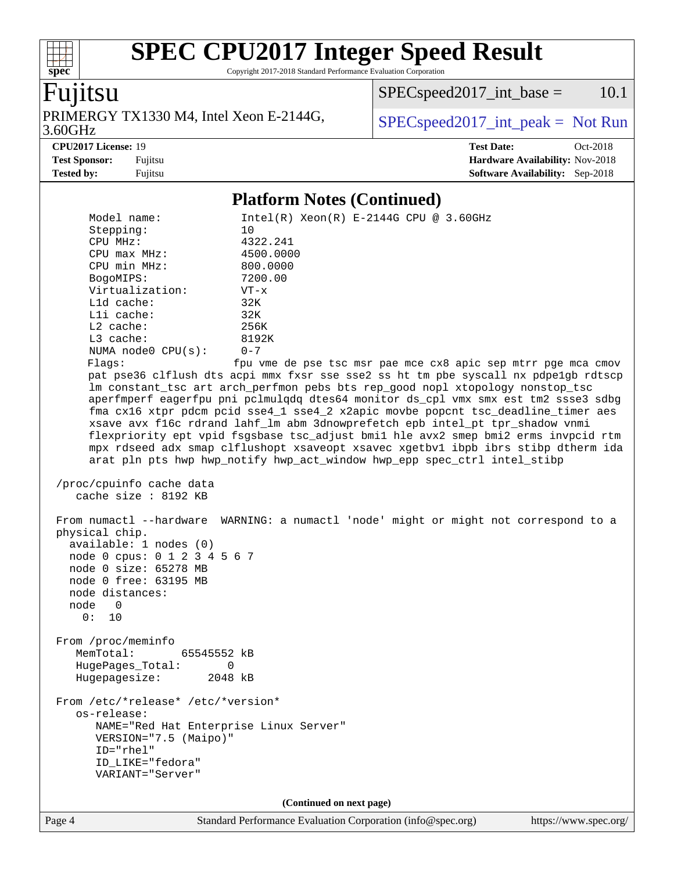Copyright 2017-2018 Standard Performance Evaluation Corporation

#### Fujitsu

**[spec](http://www.spec.org/)**

 $\pm\pm\tau$ 

3.60GHz PRIMERGY TX1330 M4, Intel Xeon E-2144G,  $\big|$  [SPECspeed2017\\_int\\_peak =](http://www.spec.org/auto/cpu2017/Docs/result-fields.html#SPECspeed2017intpeak) Not Run

 $SPEC speed2017\_int\_base = 10.1$ 

**[CPU2017 License:](http://www.spec.org/auto/cpu2017/Docs/result-fields.html#CPU2017License)** 19 **[Test Date:](http://www.spec.org/auto/cpu2017/Docs/result-fields.html#TestDate)** Oct-2018

**[Test Sponsor:](http://www.spec.org/auto/cpu2017/Docs/result-fields.html#TestSponsor)** Fujitsu **[Hardware Availability:](http://www.spec.org/auto/cpu2017/Docs/result-fields.html#HardwareAvailability)** Nov-2018 **[Tested by:](http://www.spec.org/auto/cpu2017/Docs/result-fields.html#Testedby)** Fujitsu **[Software Availability:](http://www.spec.org/auto/cpu2017/Docs/result-fields.html#SoftwareAvailability)** Sep-2018

#### **[Platform Notes \(Continued\)](http://www.spec.org/auto/cpu2017/Docs/result-fields.html#PlatformNotes)**

 Model name: Intel(R) Xeon(R) E-2144G CPU @ 3.60GHz Stepping: 10<br>
CPU MHz: 4322.241 CPU MHz: 4322.241 CPU max MHz: 4500.0000 CPU min MHz: 800.0000 BogoMIPS: 7200.00 Virtualization: VT-x L1d cache: 32K L1i cache: 32K L2 cache: 256K L3 cache: 8192K NUMA node0 CPU(s): 0-7 Flags: fpu vme de pse tsc msr pae mce cx8 apic sep mtrr pge mca cmov pat pse36 clflush dts acpi mmx fxsr sse sse2 ss ht tm pbe syscall nx pdpe1gb rdtscp lm constant\_tsc art arch\_perfmon pebs bts rep\_good nopl xtopology nonstop\_tsc aperfmperf eagerfpu pni pclmulqdq dtes64 monitor ds\_cpl vmx smx est tm2 ssse3 sdbg fma cx16 xtpr pdcm pcid sse4\_1 sse4\_2 x2apic movbe popcnt tsc\_deadline\_timer aes xsave avx f16c rdrand lahf\_lm abm 3dnowprefetch epb intel\_pt tpr\_shadow vnmi flexpriority ept vpid fsgsbase tsc\_adjust bmi1 hle avx2 smep bmi2 erms invpcid rtm mpx rdseed adx smap clflushopt xsaveopt xsavec xgetbv1 ibpb ibrs stibp dtherm ida arat pln pts hwp hwp\_notify hwp\_act\_window hwp\_epp spec\_ctrl intel\_stibp /proc/cpuinfo cache data cache size : 8192 KB From numactl --hardware WARNING: a numactl 'node' might or might not correspond to a physical chip. available: 1 nodes (0) node 0 cpus: 0 1 2 3 4 5 6 7 node 0 size: 65278 MB node 0 free: 63195 MB node distances: node 0 0: 10 From /proc/meminfo MemTotal: 65545552 kB HugePages\_Total: 0 Hugepagesize: 2048 kB From /etc/\*release\* /etc/\*version\* os-release: NAME="Red Hat Enterprise Linux Server" VERSION="7.5 (Maipo)" ID="rhel" ID\_LIKE="fedora" VARIANT="Server" **(Continued on next page)**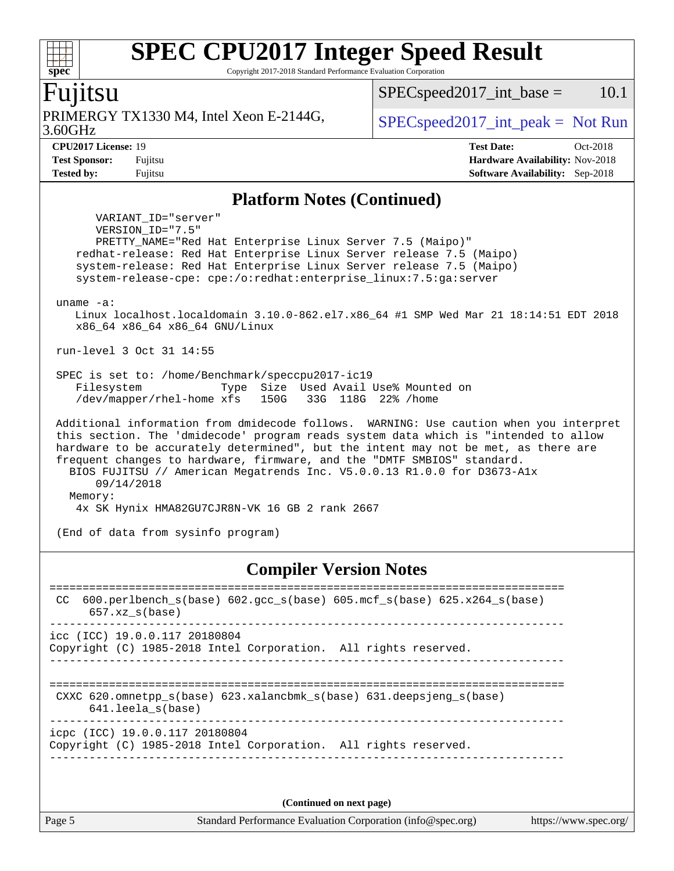Copyright 2017-2018 Standard Performance Evaluation Corporation

#### Fujitsu

3.60GHz PRIMERGY TX1330 M4, Intel Xeon E-2144G,  $\big|$  [SPECspeed2017\\_int\\_peak =](http://www.spec.org/auto/cpu2017/Docs/result-fields.html#SPECspeed2017intpeak) Not Run

 $SPEC speed2017\_int\_base = 10.1$ 

**[spec](http://www.spec.org/)**

dd h

**[CPU2017 License:](http://www.spec.org/auto/cpu2017/Docs/result-fields.html#CPU2017License)** 19 **[Test Date:](http://www.spec.org/auto/cpu2017/Docs/result-fields.html#TestDate)** Oct-2018 **[Test Sponsor:](http://www.spec.org/auto/cpu2017/Docs/result-fields.html#TestSponsor)** Fujitsu **[Hardware Availability:](http://www.spec.org/auto/cpu2017/Docs/result-fields.html#HardwareAvailability)** Nov-2018 **[Tested by:](http://www.spec.org/auto/cpu2017/Docs/result-fields.html#Testedby)** Fujitsu **[Software Availability:](http://www.spec.org/auto/cpu2017/Docs/result-fields.html#SoftwareAvailability)** Sep-2018

#### **[Platform Notes \(Continued\)](http://www.spec.org/auto/cpu2017/Docs/result-fields.html#PlatformNotes)**

 VARIANT\_ID="server" VERSION\_ID="7.5" PRETTY\_NAME="Red Hat Enterprise Linux Server 7.5 (Maipo)" redhat-release: Red Hat Enterprise Linux Server release 7.5 (Maipo) system-release: Red Hat Enterprise Linux Server release 7.5 (Maipo) system-release-cpe: cpe:/o:redhat:enterprise\_linux:7.5:ga:server uname -a: Linux localhost.localdomain 3.10.0-862.el7.x86\_64 #1 SMP Wed Mar 21 18:14:51 EDT 2018 x86\_64 x86\_64 x86\_64 GNU/Linux run-level 3 Oct 31 14:55 SPEC is set to: /home/Benchmark/speccpu2017-ic19 Filesystem Type Size Used Avail Use% Mounted on /dev/mapper/rhel-home xfs 150G 33G 118G 22% /home Additional information from dmidecode follows. WARNING: Use caution when you interpret this section. The 'dmidecode' program reads system data which is "intended to allow hardware to be accurately determined", but the intent may not be met, as there are frequent changes to hardware, firmware, and the "DMTF SMBIOS" standard. BIOS FUJITSU // American Megatrends Inc. V5.0.0.13 R1.0.0 for D3673-A1x 09/14/2018 Memory: 4x SK Hynix HMA82GU7CJR8N-VK 16 GB 2 rank 2667

(End of data from sysinfo program)

#### **[Compiler Version Notes](http://www.spec.org/auto/cpu2017/Docs/result-fields.html#CompilerVersionNotes)**

============================================================================== CC 600.perlbench\_s(base) 602.gcc\_s(base) 605.mcf\_s(base) 625.x264\_s(base) 657.xz\_s(base) ----------------------------------------------------------------------------- icc (ICC) 19.0.0.117 20180804 Copyright (C) 1985-2018 Intel Corporation. All rights reserved. ------------------------------------------------------------------------------ ============================================================================== CXXC 620.omnetpp\_s(base) 623.xalancbmk\_s(base) 631.deepsjeng\_s(base) 641.leela\_s(base) ----------------------------------------------------------------------------- icpc (ICC) 19.0.0.117 20180804 Copyright (C) 1985-2018 Intel Corporation. All rights reserved. ------------------------------------------------------------------------------

**(Continued on next page)**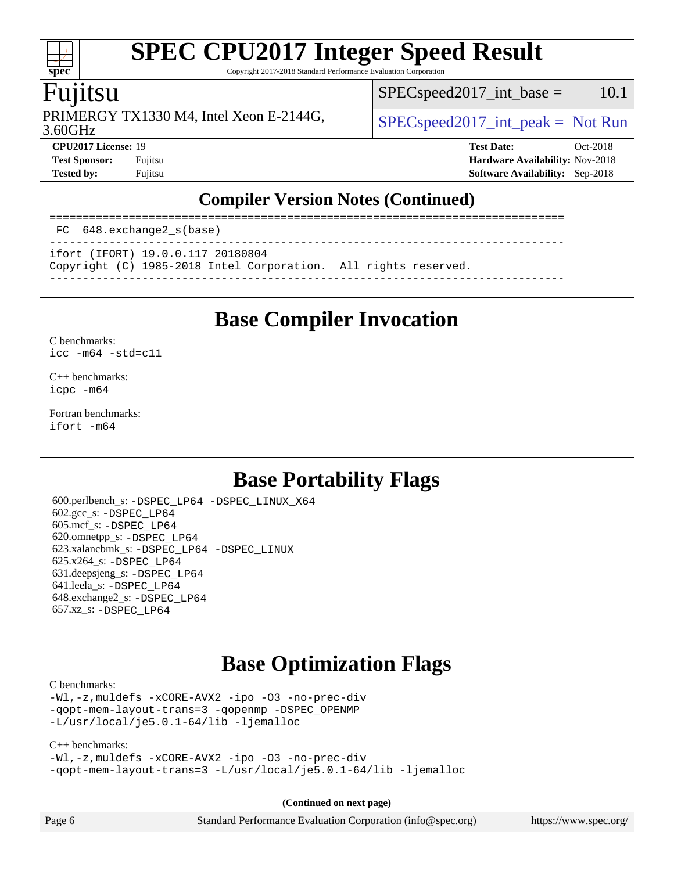Copyright 2017-2018 Standard Performance Evaluation Corporation

#### Fujitsu

**[spec](http://www.spec.org/)**

 $\pm t$ 

PRIMERGY TX1330 M4, Intel Xeon E-2144G,  $\big|$  [SPECspeed2017\\_int\\_peak =](http://www.spec.org/auto/cpu2017/Docs/result-fields.html#SPECspeed2017intpeak) Not Run

 $SPEC speed2017\_int\_base = 10.1$ 

3.60GHz

**[CPU2017 License:](http://www.spec.org/auto/cpu2017/Docs/result-fields.html#CPU2017License)** 19 **[Test Date:](http://www.spec.org/auto/cpu2017/Docs/result-fields.html#TestDate)** Oct-2018 **[Test Sponsor:](http://www.spec.org/auto/cpu2017/Docs/result-fields.html#TestSponsor)** Fujitsu **[Hardware Availability:](http://www.spec.org/auto/cpu2017/Docs/result-fields.html#HardwareAvailability)** Nov-2018 **[Tested by:](http://www.spec.org/auto/cpu2017/Docs/result-fields.html#Testedby)** Fujitsu **[Software Availability:](http://www.spec.org/auto/cpu2017/Docs/result-fields.html#SoftwareAvailability)** Sep-2018

#### **[Compiler Version Notes \(Continued\)](http://www.spec.org/auto/cpu2017/Docs/result-fields.html#CompilerVersionNotes)**

============================================================================== FC 648.exchange2\_s(base) ------------------------------------------------------------------------------

ifort (IFORT) 19.0.0.117 20180804

Copyright (C) 1985-2018 Intel Corporation. All rights reserved.

------------------------------------------------------------------------------

### **[Base Compiler Invocation](http://www.spec.org/auto/cpu2017/Docs/result-fields.html#BaseCompilerInvocation)**

#### [C benchmarks](http://www.spec.org/auto/cpu2017/Docs/result-fields.html#Cbenchmarks):

[icc -m64 -std=c11](http://www.spec.org/cpu2017/results/res2018q4/cpu2017-20181113-09808.flags.html#user_CCbase_intel_icc_64bit_c11_33ee0cdaae7deeeab2a9725423ba97205ce30f63b9926c2519791662299b76a0318f32ddfffdc46587804de3178b4f9328c46fa7c2b0cd779d7a61945c91cd35)

[C++ benchmarks:](http://www.spec.org/auto/cpu2017/Docs/result-fields.html#CXXbenchmarks) [icpc -m64](http://www.spec.org/cpu2017/results/res2018q4/cpu2017-20181113-09808.flags.html#user_CXXbase_intel_icpc_64bit_4ecb2543ae3f1412ef961e0650ca070fec7b7afdcd6ed48761b84423119d1bf6bdf5cad15b44d48e7256388bc77273b966e5eb805aefd121eb22e9299b2ec9d9)

[Fortran benchmarks](http://www.spec.org/auto/cpu2017/Docs/result-fields.html#Fortranbenchmarks): [ifort -m64](http://www.spec.org/cpu2017/results/res2018q4/cpu2017-20181113-09808.flags.html#user_FCbase_intel_ifort_64bit_24f2bb282fbaeffd6157abe4f878425411749daecae9a33200eee2bee2fe76f3b89351d69a8130dd5949958ce389cf37ff59a95e7a40d588e8d3a57e0c3fd751)

### **[Base Portability Flags](http://www.spec.org/auto/cpu2017/Docs/result-fields.html#BasePortabilityFlags)**

 600.perlbench\_s: [-DSPEC\\_LP64](http://www.spec.org/cpu2017/results/res2018q4/cpu2017-20181113-09808.flags.html#b600.perlbench_s_basePORTABILITY_DSPEC_LP64) [-DSPEC\\_LINUX\\_X64](http://www.spec.org/cpu2017/results/res2018q4/cpu2017-20181113-09808.flags.html#b600.perlbench_s_baseCPORTABILITY_DSPEC_LINUX_X64) 602.gcc\_s: [-DSPEC\\_LP64](http://www.spec.org/cpu2017/results/res2018q4/cpu2017-20181113-09808.flags.html#suite_basePORTABILITY602_gcc_s_DSPEC_LP64) 605.mcf\_s: [-DSPEC\\_LP64](http://www.spec.org/cpu2017/results/res2018q4/cpu2017-20181113-09808.flags.html#suite_basePORTABILITY605_mcf_s_DSPEC_LP64) 620.omnetpp\_s: [-DSPEC\\_LP64](http://www.spec.org/cpu2017/results/res2018q4/cpu2017-20181113-09808.flags.html#suite_basePORTABILITY620_omnetpp_s_DSPEC_LP64) 623.xalancbmk\_s: [-DSPEC\\_LP64](http://www.spec.org/cpu2017/results/res2018q4/cpu2017-20181113-09808.flags.html#suite_basePORTABILITY623_xalancbmk_s_DSPEC_LP64) [-DSPEC\\_LINUX](http://www.spec.org/cpu2017/results/res2018q4/cpu2017-20181113-09808.flags.html#b623.xalancbmk_s_baseCXXPORTABILITY_DSPEC_LINUX) 625.x264\_s: [-DSPEC\\_LP64](http://www.spec.org/cpu2017/results/res2018q4/cpu2017-20181113-09808.flags.html#suite_basePORTABILITY625_x264_s_DSPEC_LP64) 631.deepsjeng\_s: [-DSPEC\\_LP64](http://www.spec.org/cpu2017/results/res2018q4/cpu2017-20181113-09808.flags.html#suite_basePORTABILITY631_deepsjeng_s_DSPEC_LP64) 641.leela\_s: [-DSPEC\\_LP64](http://www.spec.org/cpu2017/results/res2018q4/cpu2017-20181113-09808.flags.html#suite_basePORTABILITY641_leela_s_DSPEC_LP64) 648.exchange2\_s: [-DSPEC\\_LP64](http://www.spec.org/cpu2017/results/res2018q4/cpu2017-20181113-09808.flags.html#suite_basePORTABILITY648_exchange2_s_DSPEC_LP64) 657.xz\_s: [-DSPEC\\_LP64](http://www.spec.org/cpu2017/results/res2018q4/cpu2017-20181113-09808.flags.html#suite_basePORTABILITY657_xz_s_DSPEC_LP64)

### **[Base Optimization Flags](http://www.spec.org/auto/cpu2017/Docs/result-fields.html#BaseOptimizationFlags)**

[C benchmarks](http://www.spec.org/auto/cpu2017/Docs/result-fields.html#Cbenchmarks):

```
-Wl,-z,muldefs -xCORE-AVX2 -ipo -O3 -no-prec-div
-qopt-mem-layout-trans=3 -qopenmp -DSPEC_OPENMP
-L/usr/local/je5.0.1-64/lib -ljemalloc
```
#### [C++ benchmarks:](http://www.spec.org/auto/cpu2017/Docs/result-fields.html#CXXbenchmarks) [-Wl,-z,muldefs](http://www.spec.org/cpu2017/results/res2018q4/cpu2017-20181113-09808.flags.html#user_CXXbase_link_force_multiple1_b4cbdb97b34bdee9ceefcfe54f4c8ea74255f0b02a4b23e853cdb0e18eb4525ac79b5a88067c842dd0ee6996c24547a27a4b99331201badda8798ef8a743f577) [-xCORE-AVX2](http://www.spec.org/cpu2017/results/res2018q4/cpu2017-20181113-09808.flags.html#user_CXXbase_f-xCORE-AVX2) [-ipo](http://www.spec.org/cpu2017/results/res2018q4/cpu2017-20181113-09808.flags.html#user_CXXbase_f-ipo) [-O3](http://www.spec.org/cpu2017/results/res2018q4/cpu2017-20181113-09808.flags.html#user_CXXbase_f-O3) [-no-prec-div](http://www.spec.org/cpu2017/results/res2018q4/cpu2017-20181113-09808.flags.html#user_CXXbase_f-no-prec-div) [-qopt-mem-layout-trans=3](http://www.spec.org/cpu2017/results/res2018q4/cpu2017-20181113-09808.flags.html#user_CXXbase_f-qopt-mem-layout-trans_de80db37974c74b1f0e20d883f0b675c88c3b01e9d123adea9b28688d64333345fb62bc4a798493513fdb68f60282f9a726aa07f478b2f7113531aecce732043) [-L/usr/local/je5.0.1-64/lib](http://www.spec.org/cpu2017/results/res2018q4/cpu2017-20181113-09808.flags.html#user_CXXbase_jemalloc_link_path64_4b10a636b7bce113509b17f3bd0d6226c5fb2346b9178c2d0232c14f04ab830f976640479e5c33dc2bcbbdad86ecfb6634cbbd4418746f06f368b512fced5394) [-ljemalloc](http://www.spec.org/cpu2017/results/res2018q4/cpu2017-20181113-09808.flags.html#user_CXXbase_jemalloc_link_lib_d1249b907c500fa1c0672f44f562e3d0f79738ae9e3c4a9c376d49f265a04b9c99b167ecedbf6711b3085be911c67ff61f150a17b3472be731631ba4d0471706)

**(Continued on next page)**

Page 6 Standard Performance Evaluation Corporation [\(info@spec.org\)](mailto:info@spec.org) <https://www.spec.org/>